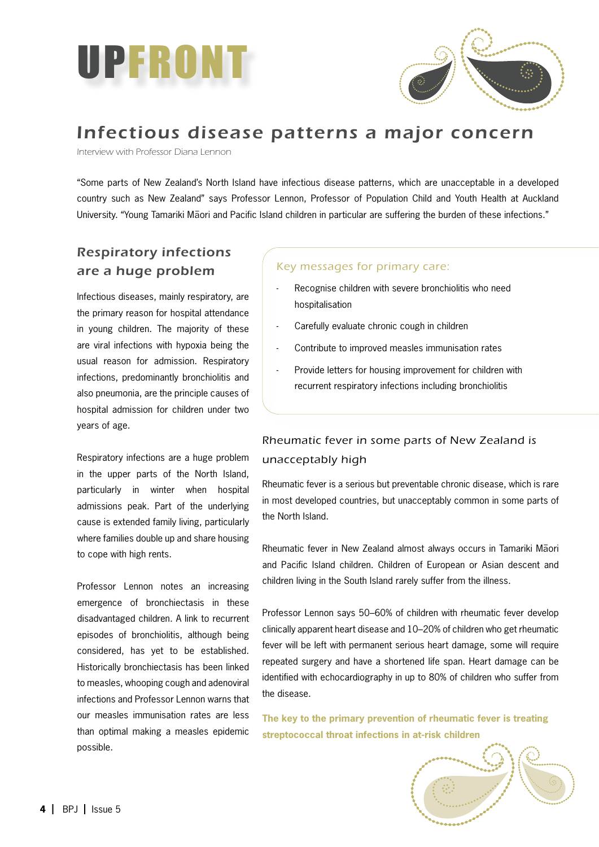



# Infectious disease patterns a major concern

Interview with Professor Diana Lennon

"Some parts of New Zealand's North Island have infectious disease patterns, which are unacceptable in a developed country such as New Zealand" says Professor Lennon, Professor of Population Child and Youth Health at Auckland University. "Young Tamariki Mäori and Pacific Island children in particular are suffering the burden of these infections."

## Respiratory infections are a huge problem

Infectious diseases, mainly respiratory, are the primary reason for hospital attendance in young children. The majority of these are viral infections with hypoxia being the usual reason for admission. Respiratory infections, predominantly bronchiolitis and also pneumonia, are the principle causes of hospital admission for children under two years of age.

Respiratory infections are a huge problem in the upper parts of the North Island, particularly in winter when hospital admissions peak. Part of the underlying cause is extended family living, particularly where families double up and share housing to cope with high rents.

Professor Lennon notes an increasing emergence of bronchiectasis in these disadvantaged children. A link to recurrent episodes of bronchiolitis, although being considered, has yet to be established. Historically bronchiectasis has been linked to measles, whooping cough and adenoviral infections and Professor Lennon warns that our measles immunisation rates are less than optimal making a measles epidemic possible.

#### Key messages for primary care:

- Recognise children with severe bronchiolitis who need hospitalisation -
- Carefully evaluate chronic cough in children -
- Contribute to improved measles immunisation rates -
- Provide letters for housing improvement for children with recurrent respiratory infections including bronchiolitis -

### Rheumatic fever in some parts of New Zealand is unacceptably high

Rheumatic fever is a serious but preventable chronic disease, which is rare in most developed countries, but unacceptably common in some parts of the North Island.

Rheumatic fever in New Zealand almost always occurs in Tamariki Mäori and Pacific Island children. Children of European or Asian descent and children living in the South Island rarely suffer from the illness.

Professor Lennon says 50–60% of children with rheumatic fever develop clinically apparent heart disease and 10–20% of children who get rheumatic fever will be left with permanent serious heart damage, some will require repeated surgery and have a shortened life span. Heart damage can be identified with echocardiography in up to 80% of children who suffer from the disease.

**The key to the primary prevention of rheumatic fever is treating streptococcal throat infections in at-risk children**